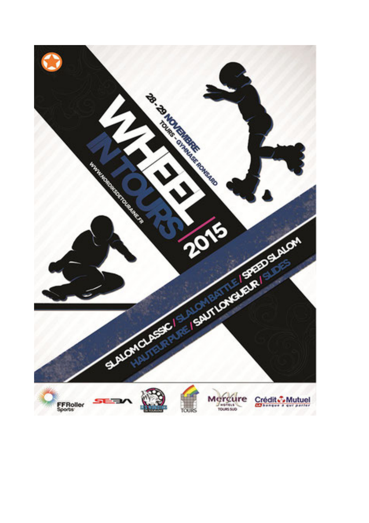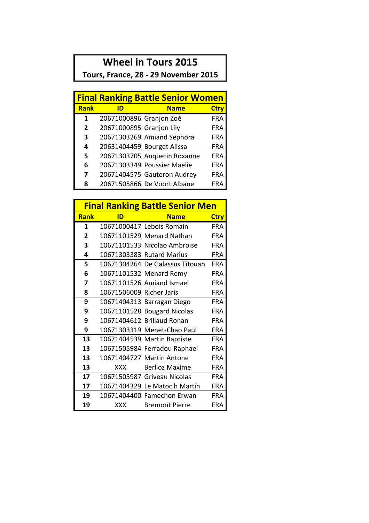## **Wheel in Tours 2015**

Tours, France, 28 - 29 November 2015

| <b>Final Ranking Battle Senior Women</b> |                          |                              |            |  |  |
|------------------------------------------|--------------------------|------------------------------|------------|--|--|
| <b>Rank</b>                              | ID                       | <b>Name</b>                  | Ctry       |  |  |
| 1                                        | 20671000896 Granjon Zoé  |                              | <b>FRA</b> |  |  |
| $\overline{2}$                           | 20671000895 Granjon Lily |                              | <b>FRA</b> |  |  |
| 3                                        |                          | 20671303269 Amiand Sephora   | <b>FRA</b> |  |  |
| 4                                        |                          | 20631404459 Bourget Alissa   | <b>FRA</b> |  |  |
| 5                                        |                          | 20671303705 Anquetin Roxanne | <b>FRA</b> |  |  |
| 6                                        |                          | 20671303349 Poussier Maelie  | <b>FRA</b> |  |  |
| 7                                        |                          | 20671404575 Gauteron Audrey  | <b>FRA</b> |  |  |
| 8                                        |                          | 20671505866 De Voort Albane  | FRA        |  |  |

|              | <b>Final Ranking Battle Senior Men</b> |                                 |             |  |  |  |
|--------------|----------------------------------------|---------------------------------|-------------|--|--|--|
| <b>Rank</b>  | ID                                     | <b>Name</b>                     | <b>Ctry</b> |  |  |  |
| 1            |                                        | 10671000417 Lebois Romain       | <b>FRA</b>  |  |  |  |
| $\mathbf{2}$ |                                        | 10671101529 Menard Nathan       | <b>FRA</b>  |  |  |  |
| 3            |                                        | 10671101533 Nicolao Ambroise    | <b>FRA</b>  |  |  |  |
| 4            |                                        | 10671303383 Rutard Marius       | <b>FRA</b>  |  |  |  |
| 5            |                                        | 10671304264 De Galassus Titouan | <b>FRA</b>  |  |  |  |
| 6            |                                        | 10671101532 Menard Remy         | <b>FRA</b>  |  |  |  |
| 7            |                                        | 10671101526 Amiand Ismael       | <b>FRA</b>  |  |  |  |
| 8            | 10671506009 Richer Jaris               |                                 | <b>FRA</b>  |  |  |  |
| 9            |                                        | 10671404313 Barragan Diego      | <b>FRA</b>  |  |  |  |
| 9            |                                        | 10671101528 Bougard Nicolas     | <b>FRA</b>  |  |  |  |
| 9            |                                        | 10671404612 Brillaud Ronan      | <b>FRA</b>  |  |  |  |
| 9            |                                        | 10671303319 Menet-Chao Paul     | FRA         |  |  |  |
| 13           |                                        | 10671404539 Martin Baptiste     | <b>FRA</b>  |  |  |  |
| 13           |                                        | 10671505984 Ferradou Raphael    | <b>FRA</b>  |  |  |  |
| 13           |                                        | 10671404727 Martin Antone       | <b>FRA</b>  |  |  |  |
| 13           | XXX X                                  | <b>Berlioz Maxime</b>           | <b>FRA</b>  |  |  |  |
| 17           |                                        | 10671505987 Griveau Nicolas     | <b>FRA</b>  |  |  |  |
| 17           |                                        | 10671404329 Le Matoc'h Martin   | FRA         |  |  |  |
| 19           |                                        | 10671404400 Famechon Erwan      | FRA         |  |  |  |
| 19           | <b>XXX</b>                             | <b>Bremont Pierre</b>           | FRA         |  |  |  |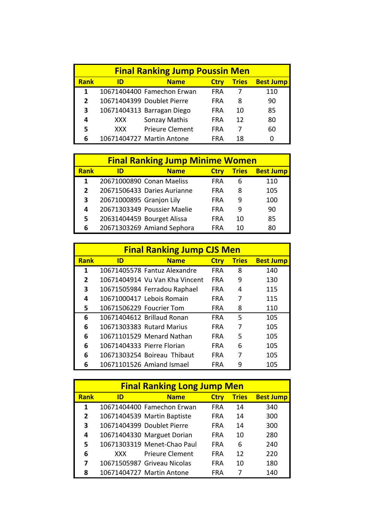| <b>Final Ranking Jump Poussin Men</b> |      |                            |             |              |                  |
|---------------------------------------|------|----------------------------|-------------|--------------|------------------|
| <b>Rank</b>                           | ID   | <b>Name</b>                | <b>Ctry</b> | <b>Tries</b> | <b>Best Jump</b> |
| 1                                     |      | 10671404400 Famechon Erwan | <b>FRA</b>  |              | 110              |
| $\overline{2}$                        |      | 10671404399 Doublet Pierre | <b>FRA</b>  | 8            | 90               |
| 3                                     |      | 10671404313 Barragan Diego | <b>FRA</b>  | 10           | 85               |
| 4                                     | XXX. | Sonzay Mathis              | <b>FRA</b>  | 12           | 80               |
| 5                                     | XXX. | <b>Prieure Clement</b>     | <b>FRA</b>  |              | 60               |
| 6                                     |      | 10671404727 Martin Antone  | FRA         | 18           | 0                |

| <b>Final Ranking Jump Minime Women</b> |                          |                             |             |              |                  |
|----------------------------------------|--------------------------|-----------------------------|-------------|--------------|------------------|
| <b>Rank</b>                            | ID                       | <b>Name</b>                 | <b>Ctry</b> | <b>Tries</b> | <b>Best Jump</b> |
| 1                                      |                          | 20671000890 Conan Maeliss   | <b>FRA</b>  | 6            | 110              |
| $\overline{2}$                         |                          | 20671506433 Daries Aurianne | <b>FRA</b>  | 8            | 105              |
| 3                                      | 20671000895 Granjon Lily |                             | <b>FRA</b>  | 9            | 100              |
| 4                                      |                          | 20671303349 Poussier Maelie | <b>FRA</b>  | q            | 90               |
| 5                                      |                          | 20631404459 Bourget Alissa  | <b>FRA</b>  | 10           | 85               |
| 6                                      |                          | 20671303269 Amiand Sephora  | FRA         | 10           | 80               |

| <b>Final Ranking Jump CJS Men</b> |                          |                                |             |              |                  |  |
|-----------------------------------|--------------------------|--------------------------------|-------------|--------------|------------------|--|
| <b>Rank</b>                       | ID                       | <b>Name</b>                    | <b>Ctry</b> | <b>Tries</b> | <b>Best Jump</b> |  |
| 1                                 |                          | 10671405578 Fantuz Alexandre   | <b>FRA</b>  | 8            | 140              |  |
| 2                                 |                          | 10671404914 Vu Van Kha Vincent | <b>FRA</b>  | 9            | 130              |  |
| 3                                 |                          | 10671505984 Ferradou Raphael   | <b>FRA</b>  | 4            | 115              |  |
| 4                                 |                          | 10671000417 Lebois Romain      | <b>FRA</b>  | 7            | 115              |  |
| 5                                 | 10671506229 Foucrier Tom |                                | <b>FRA</b>  | 8            | 110              |  |
| 6                                 |                          | 10671404612 Brillaud Ronan     | <b>FRA</b>  | 5            | 105              |  |
| 6                                 |                          | 10671303383 Rutard Marius      | <b>FRA</b>  | 7            | 105              |  |
| 6                                 |                          | 10671101529 Menard Nathan      | <b>FRA</b>  | 5            | 105              |  |
| 6                                 |                          | 10671404333 Pierre Florian     | <b>FRA</b>  | 6            | 105              |  |
| 6                                 |                          | 10671303254 Boireau Thibaut    | <b>FRA</b>  |              | 105              |  |
| 6                                 |                          | 10671101526 Amiand Ismael      | FRA         |              | 105              |  |

| <b>Final Ranking Long Jump Men</b> |      |                             |             |                   |                  |  |
|------------------------------------|------|-----------------------------|-------------|-------------------|------------------|--|
| <b>Rank</b>                        | ID   | <b>Name</b>                 | <b>Ctry</b> | <b>Tries</b>      | <b>Best Jump</b> |  |
| 1                                  |      | 10671404400 Famechon Erwan  | <b>FRA</b>  | 14                | 340              |  |
| $\overline{2}$                     |      | 10671404539 Martin Baptiste | FRA         | 14                | 300              |  |
| 3                                  |      | 10671404399 Doublet Pierre  | <b>FRA</b>  | 14                | 300              |  |
| 4                                  |      | 10671404330 Marguet Dorian  | <b>FRA</b>  | 10                | 280              |  |
| 5                                  |      | 10671303319 Menet-Chao Paul | <b>FRA</b>  | 6                 | 240              |  |
| 6                                  | XXX. | <b>Prieure Clement</b>      | <b>FRA</b>  | $12 \overline{ }$ | 220              |  |
| 7                                  |      | 10671505987 Griveau Nicolas | <b>FRA</b>  | 10                | 180              |  |
| 8                                  |      | 10671404727 Martin Antone   | FRA         |                   | 140              |  |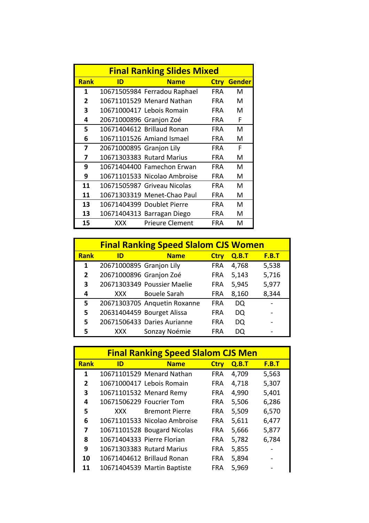| <b>Final Ranking Slides Mixed</b> |                          |                              |             |               |  |  |
|-----------------------------------|--------------------------|------------------------------|-------------|---------------|--|--|
| <b>Rank</b>                       | ID                       | <b>Name</b>                  | <b>Ctry</b> | <b>Gender</b> |  |  |
| 1                                 |                          | 10671505984 Ferradou Raphael | <b>FRA</b>  | м             |  |  |
| $\mathbf{2}$                      |                          | 10671101529 Menard Nathan    | FRA.        | м             |  |  |
| 3                                 |                          | 10671000417 Lebois Romain    | <b>FRA</b>  | м             |  |  |
| 4                                 | 20671000896 Granjon Zoé  |                              | <b>FRA</b>  | F             |  |  |
| 5                                 |                          | 10671404612 Brillaud Ronan   | <b>FRA</b>  | м             |  |  |
| 6                                 |                          | 10671101526 Amiand Ismael    | <b>FRA</b>  | м             |  |  |
| 7                                 | 20671000895 Granjon Lily |                              | <b>FRA</b>  | F             |  |  |
| 7                                 |                          | 10671303383 Rutard Marius    | FRA.        | м             |  |  |
| 9                                 |                          | 10671404400 Famechon Erwan   | FRA.        | м             |  |  |
| 9                                 |                          | 10671101533 Nicolao Ambroise | <b>FRA</b>  | м             |  |  |
| 11                                |                          | 10671505987 Griveau Nicolas  | <b>FRA</b>  | м             |  |  |
| 11                                |                          | 10671303319 Menet-Chao Paul  | <b>FRA</b>  | м             |  |  |
| 13                                |                          | 10671404399 Doublet Pierre   | <b>FRA</b>  | м             |  |  |
| 13                                |                          | 10671404313 Barragan Diego   | <b>FRA</b>  | м             |  |  |
| 15                                | XXX                      | <b>Prieure Clement</b>       | FRA         | м             |  |  |

|              | <b>Final Ranking Speed Slalom CJS Women</b> |                              |             |       |                          |  |
|--------------|---------------------------------------------|------------------------------|-------------|-------|--------------------------|--|
| <b>Rank</b>  | ID                                          | <b>Name</b>                  | <b>Ctry</b> | Q.B.T | <b>F.B.T</b>             |  |
| 1            | 20671000895 Granjon Lily                    |                              | <b>FRA</b>  | 4,768 | 5,538                    |  |
| $\mathbf{2}$ | 20671000896 Granjon Zoé                     |                              | <b>FRA</b>  | 5,143 | 5,716                    |  |
| 3            |                                             | 20671303349 Poussier Maelie  | <b>FRA</b>  | 5,945 | 5,977                    |  |
| 4            | XXX.                                        | <b>Bouele Sarah</b>          | <b>FRA</b>  | 8,160 | 8,344                    |  |
| 5            |                                             | 20671303705 Anquetin Roxanne | <b>FRA</b>  | DQ    |                          |  |
| 5            |                                             | 20631404459 Bourget Alissa   | FRA         | DQ    | $\overline{\phantom{0}}$ |  |
| 5            |                                             | 20671506433 Daries Aurianne  | <b>FRA</b>  | DQ    |                          |  |
| 5            | XXX                                         | Sonzay Noémie                | FRA         | DO    |                          |  |

| <b>Final Ranking Speed Slalom CJS Men</b> |                            |                              |             |       |       |
|-------------------------------------------|----------------------------|------------------------------|-------------|-------|-------|
| <b>Rank</b>                               | ID                         | <b>Name</b>                  | <b>Ctry</b> | Q.B.T | F.B.T |
| 1                                         |                            | 10671101529 Menard Nathan    | <b>FRA</b>  | 4,709 | 5,563 |
| 2                                         |                            | 10671000417 Lebois Romain    | <b>FRA</b>  | 4,718 | 5,307 |
| 3                                         |                            | 10671101532 Menard Remy      | <b>FRA</b>  | 4,990 | 5,401 |
| 4                                         | 10671506229 Foucrier Tom   |                              | <b>FRA</b>  | 5,506 | 6,286 |
| 5                                         | XXX.                       | <b>Bremont Pierre</b>        | <b>FRA</b>  | 5,509 | 6,570 |
| 6                                         |                            | 10671101533 Nicolao Ambroise | <b>FRA</b>  | 5,611 | 6,477 |
| 7                                         |                            | 10671101528 Bougard Nicolas  | <b>FRA</b>  | 5,666 | 5,877 |
| 8                                         | 10671404333 Pierre Florian |                              | <b>FRA</b>  | 5,782 | 6,784 |
| 9                                         |                            | 10671303383 Rutard Marius    | <b>FRA</b>  | 5,855 |       |
| 10                                        |                            | 10671404612 Brillaud Ronan   | <b>FRA</b>  | 5,894 |       |
| 11                                        |                            | 10671404539 Martin Baptiste  | FRA         | 5,969 |       |